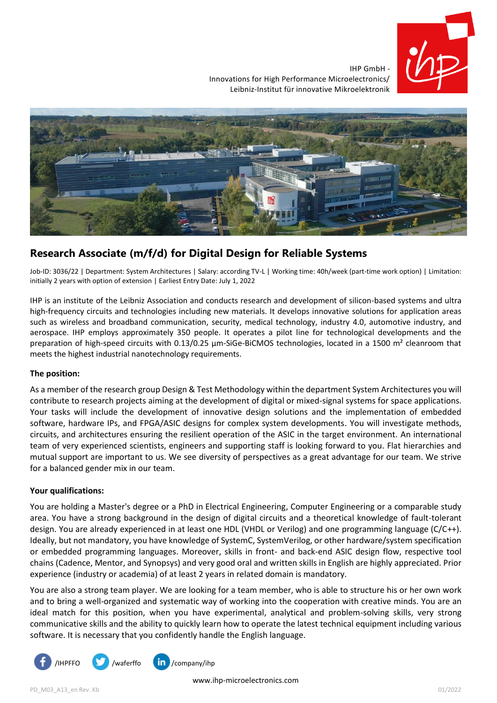

IHP GmbH - Innovations for High Performance Microelectronics/ Leibniz-Institut für innovative Mikroelektronik



# **Research Associate (m/f/d) for Digital Design for Reliable Systems**

Job-ID: 3036/22 | Department: System Architectures | Salary: according TV-L | Working time: 40h/week (part-time work option) | Limitation: initially 2 years with option of extension | Earliest Entry Date: July 1, 2022

IHP is an institute of the Leibniz Association and conducts research and development of silicon-based systems and ultra high-frequency circuits and technologies including new materials. It develops innovative solutions for application areas such as wireless and broadband communication, security, medical technology, industry 4.0, automotive industry, and aerospace. IHP employs approximately 350 people. It operates a pilot line for technological developments and the preparation of high-speed circuits with 0.13/0.25  $\mu$ m-SiGe-BiCMOS technologies, located in a 1500 m<sup>2</sup> cleanroom that meets the highest industrial nanotechnology requirements.

## **The position:**

As a member of the research group Design & Test Methodology within the department System Architectures you will contribute to research projects aiming at the development of digital or mixed-signal systems for space applications. Your tasks will include the development of innovative design solutions and the implementation of embedded software, hardware IPs, and FPGA/ASIC designs for complex system developments. You will investigate methods, circuits, and architectures ensuring the resilient operation of the ASIC in the target environment. An international team of very experienced scientists, engineers and supporting staff is looking forward to you. Flat hierarchies and mutual support are important to us. We see diversity of perspectives as a great advantage for our team. We strive for a balanced gender mix in our team.

## **Your qualifications:**

You are holding a Master's degree or a PhD in Electrical Engineering, Computer Engineering or a comparable study area. You have a strong background in the design of digital circuits and a theoretical knowledge of fault-tolerant design. You are already experienced in at least one HDL (VHDL or Verilog) and one programming language (C/C++). Ideally, but not mandatory, you have knowledge of SystemC, SystemVerilog, or other hardware/system specification or embedded programming languages. Moreover, skills in front- and back-end ASIC design flow, respective tool chains (Cadence, Mentor, and Synopsys) and very good oral and written skills in English are highly appreciated. Prior experience (industry or academia) of at least 2 years in related domain is mandatory.

You are also a strong team player. We are looking for a team member, who is able to structure his or her own work and to bring a well-organized and systematic way of working into the cooperation with creative minds. You are an ideal match for this position, when you have experimental, analytical and problem-solving skills, very strong communicative skills and the ability to quickly learn how to operate the latest technical equipment including various software. It is necessary that you confidently handle the English language.